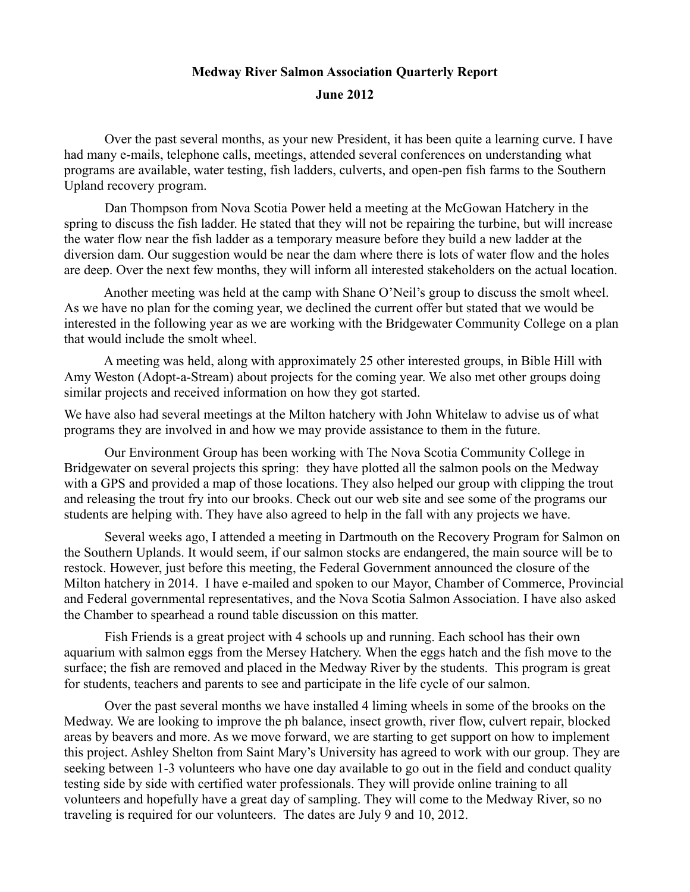## **Medway River Salmon Association Quarterly Report June 2012**

 Over the past several months, as your new President, it has been quite a learning curve. I have had many e-mails, telephone calls, meetings, attended several conferences on understanding what programs are available, water testing, fish ladders, culverts, and open-pen fish farms to the Southern Upland recovery program.

 Dan Thompson from Nova Scotia Power held a meeting at the McGowan Hatchery in the spring to discuss the fish ladder. He stated that they will not be repairing the turbine, but will increase the water flow near the fish ladder as a temporary measure before they build a new ladder at the diversion dam. Our suggestion would be near the dam where there is lots of water flow and the holes are deep. Over the next few months, they will inform all interested stakeholders on the actual location.

 Another meeting was held at the camp with Shane O'Neil's group to discuss the smolt wheel. As we have no plan for the coming year, we declined the current offer but stated that we would be interested in the following year as we are working with the Bridgewater Community College on a plan that would include the smolt wheel.

 A meeting was held, along with approximately 25 other interested groups, in Bible Hill with Amy Weston (Adopt-a-Stream) about projects for the coming year. We also met other groups doing similar projects and received information on how they got started.

We have also had several meetings at the Milton hatchery with John Whitelaw to advise us of what programs they are involved in and how we may provide assistance to them in the future.

 Our Environment Group has been working with The Nova Scotia Community College in Bridgewater on several projects this spring: they have plotted all the salmon pools on the Medway with a GPS and provided a map of those locations. They also helped our group with clipping the trout and releasing the trout fry into our brooks. Check out our web site and see some of the programs our students are helping with. They have also agreed to help in the fall with any projects we have.

 Several weeks ago, I attended a meeting in Dartmouth on the Recovery Program for Salmon on the Southern Uplands. It would seem, if our salmon stocks are endangered, the main source will be to restock. However, just before this meeting, the Federal Government announced the closure of the Milton hatchery in 2014. I have e-mailed and spoken to our Mayor, Chamber of Commerce, Provincial and Federal governmental representatives, and the Nova Scotia Salmon Association. I have also asked the Chamber to spearhead a round table discussion on this matter.

 Fish Friends is a great project with 4 schools up and running. Each school has their own aquarium with salmon eggs from the Mersey Hatchery. When the eggs hatch and the fish move to the surface; the fish are removed and placed in the Medway River by the students. This program is great for students, teachers and parents to see and participate in the life cycle of our salmon.

 Over the past several months we have installed 4 liming wheels in some of the brooks on the Medway. We are looking to improve the ph balance, insect growth, river flow, culvert repair, blocked areas by beavers and more. As we move forward, we are starting to get support on how to implement this project. Ashley Shelton from Saint Mary's University has agreed to work with our group. They are seeking between 1-3 volunteers who have one day available to go out in the field and conduct quality testing side by side with certified water professionals. They will provide online training to all volunteers and hopefully have a great day of sampling. They will come to the Medway River, so no traveling is required for our volunteers. The dates are July 9 and 10, 2012.